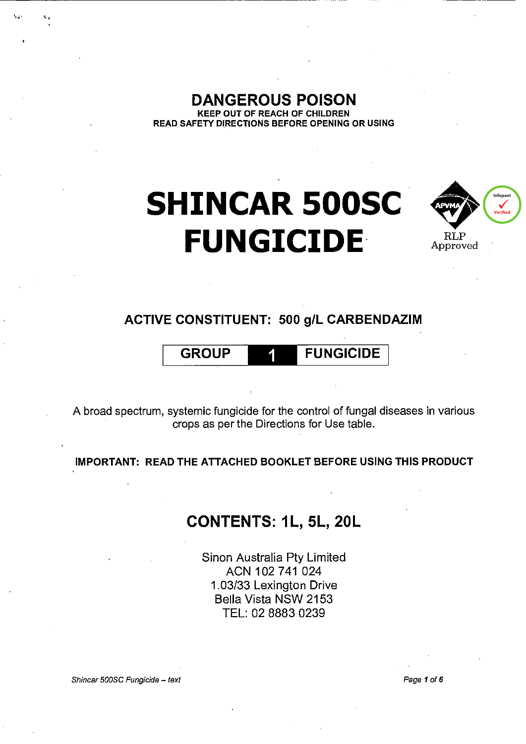**DANGEROUS POISON KEEP OUT OF REACH OF CHILDREN** READ SAFETY DIRECTIONS BEFORE OPENING OR USING

# **SHINCAR 500SC FUNGICIDE**



## ACTIVE CONSTITUENT: 500 g/L CARBENDAZIM

#### **GROUP FUNGICIDE**

A broad spectrum, systemic fungicide for the control of fungal diseases in various crops as per the Directions for Use table.

IMPORTANT: READ THE ATTACHED BOOKLET BEFORE USING THIS PRODUCT

## CONTENTS: 1L, 5L, 20L

Sinon Australia Pty Limited ACN 102 741 024 1.03/33 Lexington Drive Bella Vista NSW 2153 TEL: 02 8883 0239

Shincar 500SC Fungicide - text

Page 1 of 6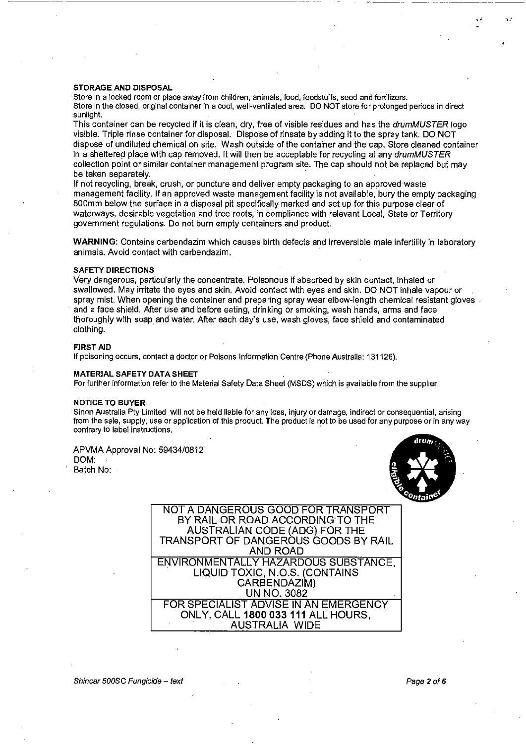#### STORAGE AND DISPOSAL

Store in a locked room or place away from children, animals, food, feedstuffs, seed and fertilizers. Store in the closed, original container in a cool, well-ventilated area. DO NOT store for prolonged periods in direct sunlight.

This container can be recycled if it is clean, dry, free of visible residues and has the *drumMUSTER* logo visible. Triple rinse container for disposal. Dispose of rinsate by adding it to the spray tank. DO NOT dispose of undiluted chemical on site. Wash outside of the container and the cap. Store cleaned container in a sheltered place with cap removed. It will then be acceptable for recycling at any drumMUSTER collection point or similar container management program site. The cap should not be replaced but may be taken separately.

If not recycling, break, crush, or puncture and deliver empty packaging to an approved waste management facility. If an approved waste management facility is not available, bury the empty packaging SOOmm below the surface in a disposal pit specifically marked and set up for this purpose clear of waterways, desirable vegetation and tree roots, in compliance with relevant Local, State or Territory government regulations. Do not burn empty containers and product.

WARNING: Contains carbendazim which causes birth defects and irreversible male infertility in laboratory animals. Avoid contact with carbendazim.

#### SAFETY DIRECTIONS

Very dangerous, particularly the concentrate. Poisonous if absorbed by skin contact, inhaled or swallowed. May irritate the eyes and skin. Avoid contact with eyes and skin. DO NOT inhale vapour or spray mist. When opening the container and preparing spray wear elbow-length chemical resistant gloves . and a face shield. After use and before eating, drinking or smoking, wash hands, arms and face thoroughly with soap\_ and water. After each day's use, wash gloves, face shield and contaminated clothing.

#### FIRST AID

If poisoning occurs, contact a doctor or Poisons Information Centre (Phone Australia: 131126).

#### MATERIAL SAFETY DATA SHEET

For further information refer to the Material Safety Data Sheet (MSDS) which is available from the supplier.

#### NOTICE TO BUYER

Sinon Australia Pty Limited will not be held liable for any loss, injury or damage, indirect or consequential, arising from the sale, supply, use or application of this product. The product is not to be used for any purpose or in any way contrary to label instructions.

### APVMA Approval No: 59434/0812 DOM:





---------

NOT A DANGEROUS GOOD FOR TRANSPORT BY RAIL OR ROAD ACCORDING TO THE AUSTRALIAN CODE (ADG) FOR THE TRANSPORT OF DANGEROUS GOODS BY RAIL AND ROAD ENVIRONMENTALLY HAZARDOUS SUBSTANCE, LIQUID TOXIC, N.O.S. (CONTAINS CARBENDAZIM) UN NO. 3082 FOR SPECIALIST ADVISE IN AN EMERGENCY ONLY, CALL 1800 033 111 ALL HOURS, AUSTRALIA WIDE

Shincar 500SC Fungicide- text Page 2 of6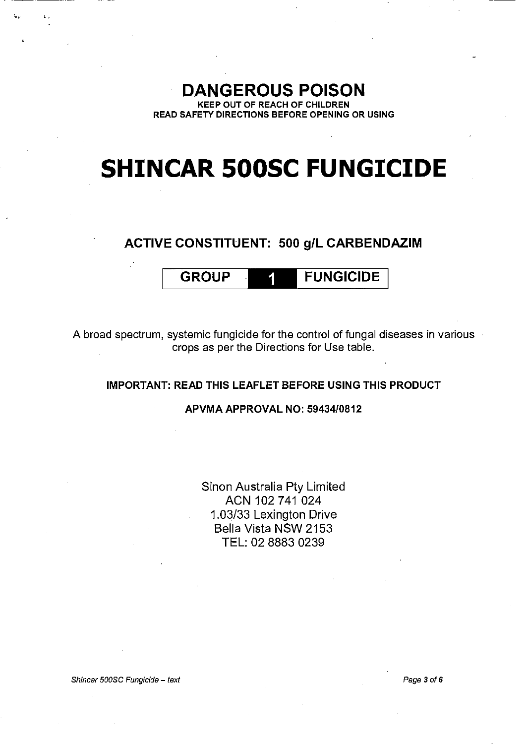## **DANGEROUS POISON**

KEEP OUT OF REACH OF CHILDREN READ SAFETY DIRECTIONS BEFORE OPENING OR USING

## **SHINCAR SOOSC FUNGICIDE**

### ACTIVE CONSTITUENT: 500 g/L CARBENDAZIM

## GROUP **FUNGICIDE**

A broad spectrum, systemic fungicide for the control of fungal diseases in various crops as per the Directions for Use table.

#### IMPORTANT: READ THIS LEAFLET BEFORE USING THIS PRODUCT

#### APVMA APPROVAL NO: 59434/0812

Sinon Australia Pty Limited ACN 102 741 024 1.03/33 Lexington Drive Bella Vista NSW 2153 TEL: 02 8883 0239

Shincar 500SC Fungicide - text

 $\overline{\mathbf{v}}_i = \begin{bmatrix} \mathbf{v}_i \\ \mathbf{v}_j \end{bmatrix}$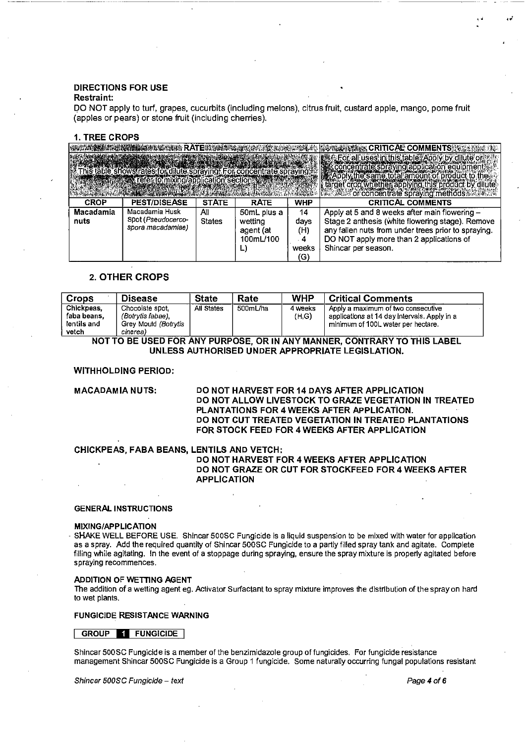## **DIRECTIONS FOR USE**

#### **Restraint:**

---··-----·--

DO NOT apply to turf, grapes, cucurbits (including melons), citrus fruit, custard apple, mango, pome fruit (apples or pears) or stone fruit (including cherries).

#### 1. TREE CROPS

|                   |                                                                  |               |                      |             | es : For all uses in this table : Apply by dilute or<br>as concentrate spraying application equipment:<br>as Apply the same total amount of product to the |
|-------------------|------------------------------------------------------------------|---------------|----------------------|-------------|------------------------------------------------------------------------------------------------------------------------------------------------------------|
|                   | table shows rates for dilute spraying. For concentrate spraying: |               |                      |             |                                                                                                                                                            |
|                   | Tefer to mixing/application section                              |               |                      |             |                                                                                                                                                            |
|                   |                                                                  |               |                      |             | crop whether applying this product by dilute                                                                                                               |
| <b>CROP</b>       | <b>PEST/DISEASE</b>                                              | <b>STATE</b>  | <b>RATE</b>          | <b>WHP</b>  | <b>CRITICAL COMMENTS</b>                                                                                                                                   |
|                   |                                                                  |               |                      |             |                                                                                                                                                            |
|                   | Macadamia Husk                                                   |               |                      |             |                                                                                                                                                            |
| Macadamia<br>nuts | Spot (Pseudocerco-                                               | All           | 50mL plus a          | 14          | Apply at 5 and 8 weeks after main flowering -                                                                                                              |
|                   | spora macadamiae)                                                | <b>States</b> | wetting<br>agent (at | days<br>(H) | Stage 2 anthesis (white flowering stage). Remove                                                                                                           |
|                   |                                                                  |               | 100mL/100            | $4 -$       | any fallen nuts from under trees prior to spraying.<br>DO NOT apply more than 2 applications of                                                            |
|                   |                                                                  |               | L)                   | weeks       | Shincar per season.                                                                                                                                        |

#### **2. OTHER CROPS**

| <b>Crops</b>                                                           | <b>Disease</b>       | <b>State</b> | Rate     | WHP     | , Critical Comments                          |  |  |
|------------------------------------------------------------------------|----------------------|--------------|----------|---------|----------------------------------------------|--|--|
| Chickpeas.                                                             | Chocolate spot.      | All States   | 500mL/ha | 4 weeks | Apply a maximum of two consecutive           |  |  |
| faba beans.                                                            | (Botrytis fabae).    |              |          | (H.G)   | applications at 14 day intervals. Apply in a |  |  |
| lentils and                                                            | Grey Mould (Botrytis |              |          |         | minimum of 100L water per hectare.           |  |  |
| vetch                                                                  | cinerea)             |              |          |         |                                              |  |  |
| NATTA BE HAER FAR AW/ BURBARE, AR IN AW/ HAWFER, AANTBARV TA TUR LABEL |                      |              |          |         |                                              |  |  |

**NOT TO BE USED FOR ANY PURPOSE, OR IN ANY MANNER, CONTRARY TO THIS LABEL UNLESS AUTHORISED UNDER APPROPRIATE LEGISLATION.** 

#### **WITHHOLDING PERIOD:**

**MACADAMIA NUTS: DO NOT HARVEST FOR 14 DAYS AFTER APPLICATION DO NOT ALLOW LIVESTOCK TO GRAZE VEGETATION IN TREATED PLANTATIONS FOR 4 WEEKS AFTER APPLICATION. DO NOT CUT TREATED VEGETATION IN TREATED PLANTATIONS FOR STOCK FEED FOR 4 WEEKS AFTER APPLICATION** 

#### **CHICKPEAS, FABA BEANS, LENTILS AND VETCH:**

**DO NOT HARVEST FOR 4 WEEKS AFTER APPLICATION DO NOT GRAZE OR CUT FOR STOCKFEED FOR 4 WEEKS AFTER APPLICATION** 

#### **GENERAL INSTRUCTIONS**

#### **MIXING/APPLICATION**

SHAKE WELL BEFORE USE. Shincar 500SC Fungicide is a liquid suspension to be mixed with water for application as a spray. Add the required quantity of Shincar SOOSC Fungicide to a partly filled spray tank and agitate. Complete filling while agitating. In the event of a stoppage during spraying, ensure the spray mixture is properly agitated before **spraying recommences.** 

#### **ADDITION OF WETTING AGENT**

The addition of a wetting agent eg. Activator Surfactant to spray mixture improves the distribution of the spray on hard to wet plants.

#### **FUNGICIDE RESISTANCE WARNING**

#### <sup>I</sup>**GROUP II FUNGICIDE** <sup>I</sup>

Shincar SOOSC Fungicide is a member of the benzimidazole group of fungicides. For fungicide resistance management Shincar SOOSC Fungicide is a Group 1 fungicide. Some naturally occurring fungal populations resistant

#### Shincar SOOSC Fungicide- *text* Page 4of6

**<sup>1</sup>**~ ... •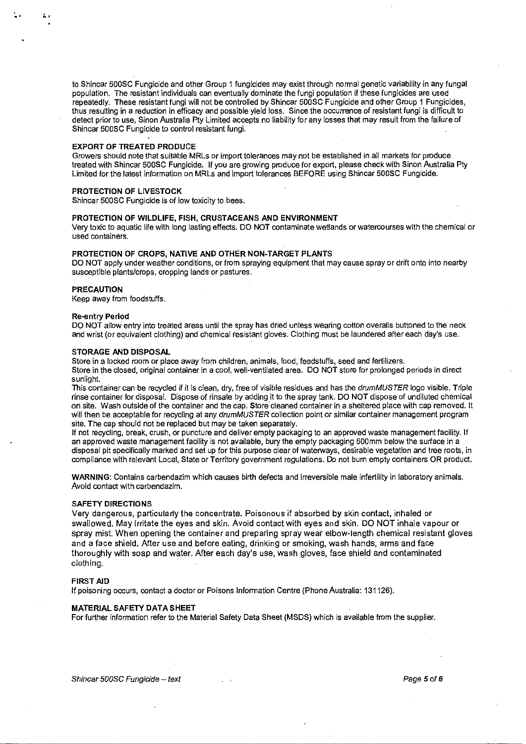to Shincar 500SC Fungicide and other Group 1 fungicides may exist through normal genetic variability in any fungal population. The resistant individuals can eventually dominate the fungi population if these fungicides are used repeatedly. These resistant fungi will not be controlled by Shincar 500SC Fungicide and other Group 1 Fungicides, thus resulting in a reduction in efficacy and possible yield loss. Since the occurrence of resistant fungi is difficult to detect prior to use, Sinon Australia Pty Limited accepts no liability for any losses that may result from the failure of Shincar 500SC Fungicide to control resistant fungi.

#### EXPORT OF TREATED PRODUCE

Growers should note that suitable MRLs or import tolerances may not be established in all markets for produce treated with Shincar 500SC Fungicide. If you are growing produce for export, please check with Sinon Australia Pty Limited for the latest information on MRLs and import tolerances BEFORE using Shincar 500SC Fungicide.

#### PROTECTION OF LIVESTOCK

Shincar 500SC Fungicide is of low toxicity to bees.

#### PROTECTION OF WILDLIFE, FISH, CRUSTACEANS AND ENVIRONMENT

Very toxic to aquatic life with long lasting effects. DO NOT contaminate wetlands or watercourses with the chemical or **used containers.** 

#### PROTECTION OF CROPS, NATIVE AND OTHER NON-TARGET PLANTS

DO NOT apply under weather conditions, or from spraying equipment that may cause spray or drift onto into nearby susceptible plants/crops, cropping lands or pastures.

#### PRECAUTION

Keep away from foodstuffs.

#### Re-entry Period

DO NOT allow entry into treated areas until the spray has dried unless wearing cotton overalls buttoned to the neck and wrist (or equivalent clothing) and chemical resistant gloves. Clothing must be laundered after each day's use.

#### STORAGE AND DISPOSAL

Store in a locked room or place away from children, animals, food, feedstuffs, seed and fertilizers.

Store in the closed, original container in a cool, well-ventilated area. DO NOT store for prolonged periods in direct sunlight.

This container can be recycled if it is clean, dry, free of visible residues and has the drumMUSTER logo visible. Triple rinse container for disposal. Dispose of rinsate by adding it to the spray tank. DO NOT dispose of undiluted chemical on site. Wash outside of the container and the cap. Store cleaned container in a sheltered place with cap removed. It will then be acceptable for recycling at any drumMUSTER collection point or similar container management program site. The cap should not be replaced but may be taken separately.

If not recycling, break, crush, or puncture and deliver empty packaging to an approved waste management facility. If an approved waste management facility is not available, bury the empty packaging 500mm below the surface in a disposal pit specifically marked and set up for this purpose clear of waterways, desirable vegetation and tree roots, in compliance with relevant Local, State or Territory government regulations. Do not burn empty containers OR product.

WARNING: Contains carbendazim which causes birth defects and irreversible male infertility in laboratory animals. Avoid contact with carbendazim.

#### SAFETY DIRECTIONS

Very dangerous, particularly the concentrate. Poisonous if absorbed by skin contact, inhaled or swallowed. May irritate the eyes and skin. Avoid contact with eyes and skin. DO NOT inhale vapour or spray mist. When opening the container and preparing spray wear elbow-length chemical resistant gloves and a face shield. After use and before eating, drinking or smoking, wash hands, arms and face thoroughly with soap and water. After each day's use, wash gloves, face shield and contaminated clothing.

#### FIRST AID

If poisoning occurs, contact a doctor or Poisons Information Centre (Phone Australia: 131126).

#### MATERIAL SAFETY DATA SHEET

For further information refer to the Material Safety Data Sheet (MSDS) which is available from the supplier.